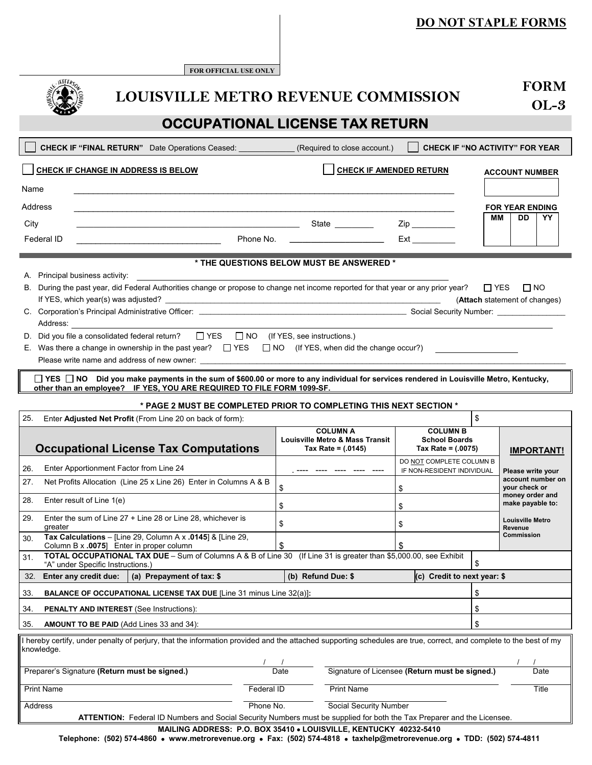# **DO NOT STAPLE FORMS**

**FOR OFFICIAL USE ONLY** 

| <b>LOUISVILLE METRO REVENUE COMMISSION</b>                                                                                                                               |                                                            |                                                                                                                                                                                                                                                                                                                                   |            |                    |                                                                                       |                                                                 | <b>FORM</b> |                                            |                   |
|--------------------------------------------------------------------------------------------------------------------------------------------------------------------------|------------------------------------------------------------|-----------------------------------------------------------------------------------------------------------------------------------------------------------------------------------------------------------------------------------------------------------------------------------------------------------------------------------|------------|--------------------|---------------------------------------------------------------------------------------|-----------------------------------------------------------------|-------------|--------------------------------------------|-------------------|
|                                                                                                                                                                          |                                                            |                                                                                                                                                                                                                                                                                                                                   |            |                    |                                                                                       | $OL-3$                                                          |             |                                            |                   |
| <b>OCCUPATIONAL LICENSE TAX RETURN</b>                                                                                                                                   |                                                            |                                                                                                                                                                                                                                                                                                                                   |            |                    |                                                                                       |                                                                 |             |                                            |                   |
|                                                                                                                                                                          |                                                            | CHECK IF "FINAL RETURN" Date Operations Ceased: _______________                                                                                                                                                                                                                                                                   |            |                    | (Required to close account.)                                                          | <b>CHECK IF "NO ACTIVITY" FOR YEAR</b>                          |             |                                            |                   |
|                                                                                                                                                                          |                                                            | CHECK IF CHANGE IN ADDRESS IS BELOW                                                                                                                                                                                                                                                                                               |            |                    | <b>CHECK IF AMENDED RETURN</b>                                                        |                                                                 |             | <b>ACCOUNT NUMBER</b>                      |                   |
| Name                                                                                                                                                                     |                                                            |                                                                                                                                                                                                                                                                                                                                   |            |                    |                                                                                       |                                                                 |             |                                            |                   |
| Address                                                                                                                                                                  |                                                            |                                                                                                                                                                                                                                                                                                                                   |            |                    |                                                                                       |                                                                 |             | <b>FOR YEAR ENDING</b>                     |                   |
| City                                                                                                                                                                     |                                                            | <u> 1989 - Johann John Harry, mars and deutscher Amerikaanse kommen van de Franse kommen van de Franse kommen van</u>                                                                                                                                                                                                             |            |                    | State _________                                                                       |                                                                 | MМ          | DD                                         | YY.               |
| Federal ID                                                                                                                                                               |                                                            | <u> 1989 - Johann Barbara, martxa alemaniar a</u>                                                                                                                                                                                                                                                                                 |            |                    | Phone No. <u>____________________</u>                                                 | $Ext$ <sub>_____________</sub>                                  |             |                                            |                   |
|                                                                                                                                                                          |                                                            |                                                                                                                                                                                                                                                                                                                                   |            |                    | * THE QUESTIONS BELOW MUST BE ANSWERED *                                              |                                                                 |             |                                            |                   |
|                                                                                                                                                                          | A. Principal business activity:                            |                                                                                                                                                                                                                                                                                                                                   |            |                    |                                                                                       |                                                                 |             |                                            |                   |
|                                                                                                                                                                          |                                                            | B. During the past year, did Federal Authorities change or propose to change net income reported for that year or any prior year?                                                                                                                                                                                                 |            |                    |                                                                                       |                                                                 | $\Box$ YES  | $\Box$ NO<br>(Attach statement of changes) |                   |
|                                                                                                                                                                          |                                                            |                                                                                                                                                                                                                                                                                                                                   |            |                    |                                                                                       |                                                                 |             |                                            |                   |
|                                                                                                                                                                          |                                                            | Address: the contract of the contract of the contract of the contract of the contract of the contract of the contract of the contract of the contract of the contract of the contract of the contract of the contract of the c<br>D. Did you file a consolidated federal return? $\Box$ YES $\Box$ NO (If YES, see instructions.) |            |                    |                                                                                       |                                                                 |             |                                            |                   |
|                                                                                                                                                                          |                                                            | E. Was there a change in ownership in the past year? $\Box$ YES $\Box$ NO (If YES, when did the change occur?)                                                                                                                                                                                                                    |            |                    |                                                                                       |                                                                 |             |                                            |                   |
|                                                                                                                                                                          |                                                            |                                                                                                                                                                                                                                                                                                                                   |            |                    |                                                                                       |                                                                 |             |                                            |                   |
|                                                                                                                                                                          |                                                            | □ YES □ NO Did you make payments in the sum of \$600.00 or more to any individual for services rendered in Louisville Metro, Kentucky,<br>other than an employee? IF YES, YOU ARE REQUIRED TO FILE FORM 1099-SF.                                                                                                                  |            |                    |                                                                                       |                                                                 |             |                                            |                   |
|                                                                                                                                                                          |                                                            | * PAGE 2 MUST BE COMPLETED PRIOR TO COMPLETING THIS NEXT SECTION *                                                                                                                                                                                                                                                                |            |                    |                                                                                       |                                                                 |             |                                            |                   |
| 25.                                                                                                                                                                      |                                                            | Enter Adjusted Net Profit (From Line 20 on back of form):                                                                                                                                                                                                                                                                         |            |                    |                                                                                       |                                                                 | \$          |                                            |                   |
|                                                                                                                                                                          |                                                            | <b>Occupational License Tax Computations</b>                                                                                                                                                                                                                                                                                      |            |                    | <b>COLUMN A</b><br><b>Louisville Metro &amp; Mass Transit</b><br>Tax Rate = $(.0145)$ | <b>COLUMN B</b><br><b>School Boards</b><br>Tax Rate = $(.0075)$ |             |                                            | <b>IMPORTANT!</b> |
| 26.                                                                                                                                                                      |                                                            | Enter Apportionment Factor from Line 24                                                                                                                                                                                                                                                                                           |            |                    |                                                                                       | DO NOT COMPLETE COLUMN B<br>IF NON-RESIDENT INDIVIDUAL          |             | Please write your                          |                   |
| 27.                                                                                                                                                                      |                                                            | Net Profits Allocation (Line 25 x Line 26) Enter in Columns A & B                                                                                                                                                                                                                                                                 |            | \$                 |                                                                                       | \$                                                              |             | vour check or                              | account number on |
| 28.                                                                                                                                                                      | Enter result of Line 1(e)                                  |                                                                                                                                                                                                                                                                                                                                   |            | \$                 |                                                                                       | \$                                                              |             | money order and<br>make payable to:        |                   |
| 29.                                                                                                                                                                      |                                                            | Enter the sum of Line $27 +$ Line 28 or Line 28, whichever is                                                                                                                                                                                                                                                                     |            | \$                 |                                                                                       |                                                                 |             | Louisville Metro                           |                   |
| areater<br>30.                                                                                                                                                           |                                                            | Tax Calculations - [Line 29, Column A $\times$ .0145] & [Line 29,                                                                                                                                                                                                                                                                 |            |                    |                                                                                       | \$                                                              |             | Revenue<br>Commission                      |                   |
| 31.                                                                                                                                                                      |                                                            | Column B x .0075] Enter in proper column<br>TOTAL OCCUPATIONAL TAX DUE - Sum of Columns A & B of Line 30 (If Line 31 is greater than \$5,000.00, see Exhibit                                                                                                                                                                      |            | \$                 |                                                                                       | \$                                                              |             |                                            |                   |
| 32.                                                                                                                                                                      | "A" under Specific Instructions.)<br>Enter any credit due: | (a) Prepayment of tax: \$                                                                                                                                                                                                                                                                                                         |            | (b) Refund Due: \$ |                                                                                       | (c) Credit to next year: \$                                     | \$          |                                            |                   |
| 33.                                                                                                                                                                      |                                                            | <b>BALANCE OF OCCUPATIONAL LICENSE TAX DUE [Line 31 minus Line 32(a)]:</b>                                                                                                                                                                                                                                                        |            |                    |                                                                                       |                                                                 | \$          |                                            |                   |
| 34.                                                                                                                                                                      |                                                            | <b>PENALTY AND INTEREST (See Instructions):</b>                                                                                                                                                                                                                                                                                   |            |                    |                                                                                       |                                                                 | \$          |                                            |                   |
| \$<br>35.<br><b>AMOUNT TO BE PAID (Add Lines 33 and 34):</b>                                                                                                             |                                                            |                                                                                                                                                                                                                                                                                                                                   |            |                    |                                                                                       |                                                                 |             |                                            |                   |
| I hereby certify, under penalty of perjury, that the information provided and the attached supporting schedules are true, correct, and complete to the best of my        |                                                            |                                                                                                                                                                                                                                                                                                                                   |            |                    |                                                                                       |                                                                 |             |                                            |                   |
| knowledge.                                                                                                                                                               |                                                            |                                                                                                                                                                                                                                                                                                                                   |            |                    |                                                                                       |                                                                 |             |                                            |                   |
| Date<br>Preparer's Signature (Return must be signed.)                                                                                                                    |                                                            |                                                                                                                                                                                                                                                                                                                                   |            |                    |                                                                                       | Signature of Licensee (Return must be signed.)                  |             |                                            | Date              |
| <b>Print Name</b>                                                                                                                                                        |                                                            |                                                                                                                                                                                                                                                                                                                                   | Federal ID | <b>Print Name</b>  |                                                                                       |                                                                 |             | Title                                      |                   |
| Phone No.<br>Social Security Number<br>Address<br>ATTENTION: Federal ID Numbers and Social Security Numbers must be supplied for both the Tax Preparer and the Licensee. |                                                            |                                                                                                                                                                                                                                                                                                                                   |            |                    |                                                                                       |                                                                 |             |                                            |                   |
| MAILING ADDRESS: P.O. BOX 35410 . LOUISVILLE, KENTUCKY 40232-5410                                                                                                        |                                                            |                                                                                                                                                                                                                                                                                                                                   |            |                    |                                                                                       |                                                                 |             |                                            |                   |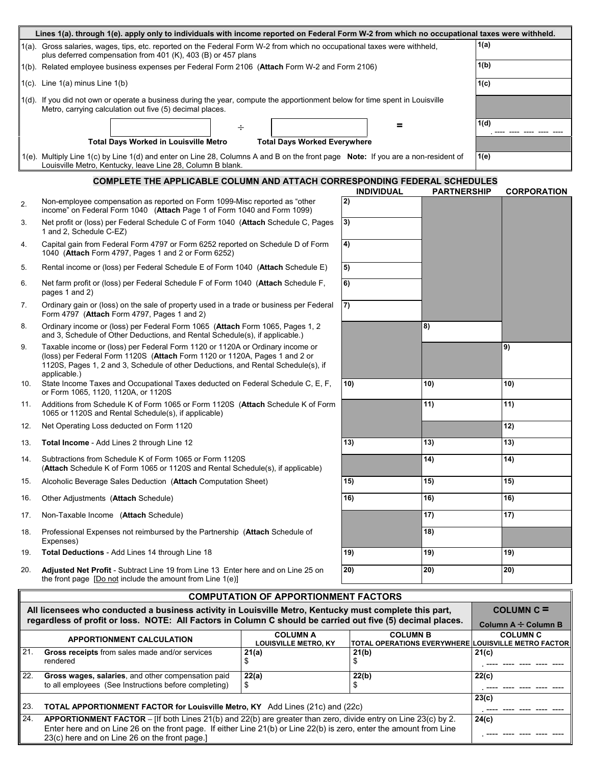|     | Lines 1(a). through 1(e). apply only to individuals with income reported on Federal Form W-2 from which no occupational taxes were withheld.                                                                                                                     |                                                |                          |                    |                 |                                                                        |  |
|-----|------------------------------------------------------------------------------------------------------------------------------------------------------------------------------------------------------------------------------------------------------------------|------------------------------------------------|--------------------------|--------------------|-----------------|------------------------------------------------------------------------|--|
|     | 1(a). Gross salaries, wages, tips, etc. reported on the Federal Form W-2 from which no occupational taxes were withheld,<br>plus deferred compensation from 401 (K), 403 (B) or 457 plans                                                                        |                                                |                          |                    |                 | 1(a)                                                                   |  |
|     | 1(b). Related employee business expenses per Federal Form 2106 (Attach Form W-2 and Form 2106)                                                                                                                                                                   |                                                |                          |                    | 1(b)            |                                                                        |  |
|     | $1(c)$ . Line $1(a)$ minus Line $1(b)$                                                                                                                                                                                                                           |                                                |                          |                    | 1(c)            |                                                                        |  |
|     | 1(d). If you did not own or operate a business during the year, compute the apportionment below for time spent in Louisville<br>Metro, carrying calculation out five (5) decimal places.                                                                         |                                                |                          |                    |                 |                                                                        |  |
|     |                                                                                                                                                                                                                                                                  | ÷                                              | =                        |                    | 1(d)            |                                                                        |  |
|     | <b>Total Days Worked in Louisville Metro</b>                                                                                                                                                                                                                     | <b>Total Days Worked Everywhere</b>            |                          |                    |                 |                                                                        |  |
|     | 1(e). Multiply Line 1(c) by Line 1(d) and enter on Line 28, Columns A and B on the front page Note: If you are a non-resident of<br>Louisville Metro, Kentucky, leave Line 28, Column B blank.                                                                   |                                                |                          |                    | 1(e)            |                                                                        |  |
|     | COMPLETE THE APPLICABLE COLUMN AND ATTACH CORRESPONDING FEDERAL SCHEDULES                                                                                                                                                                                        |                                                |                          |                    |                 |                                                                        |  |
| 2.  | Non-employee compensation as reported on Form 1099-Misc reported as "other<br>income" on Federal Form 1040 (Attach Page 1 of Form 1040 and Form 1099)                                                                                                            |                                                | <b>INDIVIDUAL</b><br> 2) | <b>PARTNERSHIP</b> |                 | <b>CORPORATION</b>                                                     |  |
| 3.  | Net profit or (loss) per Federal Schedule C of Form 1040 (Attach Schedule C, Pages<br>1 and 2, Schedule C-EZ)                                                                                                                                                    |                                                | 3)                       |                    |                 |                                                                        |  |
| 4.  | Capital gain from Federal Form 4797 or Form 6252 reported on Schedule D of Form<br>1040 (Attach Form 4797, Pages 1 and 2 or Form 6252)                                                                                                                           |                                                | $\left( 4\right)$        |                    |                 |                                                                        |  |
| 5.  | Rental income or (loss) per Federal Schedule E of Form 1040 (Attach Schedule E)                                                                                                                                                                                  |                                                | $\vert 5 \rangle$        |                    |                 |                                                                        |  |
| 6.  | Net farm profit or (loss) per Federal Schedule F of Form 1040 (Attach Schedule F,<br>pages 1 and 2)                                                                                                                                                              |                                                | 6)                       |                    |                 |                                                                        |  |
| 7.  | Ordinary gain or (loss) on the sale of property used in a trade or business per Federal<br>Form 4797 (Attach Form 4797, Pages 1 and 2)                                                                                                                           |                                                | $\vert$ 7)               |                    |                 |                                                                        |  |
| 8.  | Ordinary income or (loss) per Federal Form 1065 (Attach Form 1065, Pages 1, 2<br>and 3, Schedule of Other Deductions, and Rental Schedule(s), if applicable.)                                                                                                    |                                                |                          | 8)                 |                 |                                                                        |  |
| 9.  | Taxable income or (loss) per Federal Form 1120 or 1120A or Ordinary income or<br>(loss) per Federal Form 1120S (Attach Form 1120 or 1120A, Pages 1 and 2 or<br>1120S, Pages 1, 2 and 3, Schedule of other Deductions, and Rental Schedule(s), if<br>applicable.) |                                                |                          |                    | 9)              |                                                                        |  |
| 10. | State Income Taxes and Occupational Taxes deducted on Federal Schedule C, E, F,<br>or Form 1065, 1120, 1120A, or 1120S                                                                                                                                           | 10)                                            | 10)                      |                    | 10)             |                                                                        |  |
| 11. | Additions from Schedule K of Form 1065 or Form 1120S (Attach Schedule K of Form<br>1065 or 1120S and Rental Schedule(s), if applicable)                                                                                                                          |                                                |                          | 11)                |                 | 11)                                                                    |  |
| 12. | Net Operating Loss deducted on Form 1120                                                                                                                                                                                                                         |                                                |                          |                    |                 | 12)                                                                    |  |
| 13. | Total Income - Add Lines 2 through Line 12                                                                                                                                                                                                                       |                                                | 13)                      | 13)                |                 | 13)                                                                    |  |
| 14. | Subtractions from Schedule K of Form 1065 or Form 1120S<br>(Attach Schedule K of Form 1065 or 1120S and Rental Schedule(s), if applicable)                                                                                                                       |                                                | 14)                      |                    | $\overline{14}$ |                                                                        |  |
| 15. | Alcoholic Beverage Sales Deduction (Attach Computation Sheet)                                                                                                                                                                                                    |                                                | 15)                      | 15)                |                 | 15)                                                                    |  |
| 16. | Other Adjustments (Attach Schedule)                                                                                                                                                                                                                              |                                                | 16)                      | 16)<br>16)         |                 |                                                                        |  |
| 17. | Non-Taxable Income (Attach Schedule)                                                                                                                                                                                                                             |                                                |                          | 17)                |                 | 17)                                                                    |  |
| 18. | Professional Expenses not reimbursed by the Partnership (Attach Schedule of<br>Expenses)                                                                                                                                                                         |                                                | 18)                      |                    |                 |                                                                        |  |
| 19. | Total Deductions - Add Lines 14 through Line 18                                                                                                                                                                                                                  |                                                | 19)                      | 19)                |                 | 19)                                                                    |  |
| 20. | Adjusted Net Profit - Subtract Line 19 from Line 13 Enter here and on Line 25 on<br>the front page [Do not include the amount from Line 1(e)]                                                                                                                    |                                                | $ 20\rangle$             | 20)                |                 | 20)                                                                    |  |
|     |                                                                                                                                                                                                                                                                  | <b>COMPUTATION OF APPORTIONMENT FACTORS</b>    |                          |                    |                 |                                                                        |  |
|     | All licensees who conducted a business activity in Louisville Metro, Kentucky must complete this part,<br>regardless of profit or loss. NOTE: All Factors in Column C should be carried out five (5) decimal places.                                             |                                                |                          |                    |                 | $COLUTION C =$<br>Column A ÷ Column B                                  |  |
|     | <b>APPORTIONMENT CALCULATION</b>                                                                                                                                                                                                                                 | <b>COLUMN A</b><br><b>LOUISVILLE METRO, KY</b> | <b>COLUMN B</b>          |                    |                 | <b>COLUMN C</b><br>TOTAL OPERATIONS EVERYWHERE LOUISVILLE METRO FACTOR |  |
| 21. | Gross receipts from sales made and/or services<br>rendered                                                                                                                                                                                                       | 21(a)<br>\$                                    | 21(b)<br>\$              |                    | 21(c)           |                                                                        |  |
| 22. | Gross wages, salaries, and other compensation paid<br>22(a)<br>22(b)<br>to all employees (See Instructions before completing)<br>\$<br>\$                                                                                                                        |                                                |                          | 22(c)              |                 |                                                                        |  |
| 23. | TOTAL APPORTIONMENT FACTOR for Louisville Metro, KY Add Lines (21c) and (22c)                                                                                                                                                                                    |                                                |                          |                    | 23(c)           |                                                                        |  |
|     |                                                                                                                                                                                                                                                                  |                                                |                          |                    |                 |                                                                        |  |

| 24. <b>APPORTIONMENT FACTOR</b> – [If both Lines 21(b) and 22(b) are greater than zero, divide entry on Line 23(c) by 2. | 24(c) |
|--------------------------------------------------------------------------------------------------------------------------|-------|
| Enter here and on Line 26 on the front page. If either Line 21(b) or Line 22(b) is zero, enter the amount from Line      |       |
| 23(c) here and on Line 26 on the front page.                                                                             |       |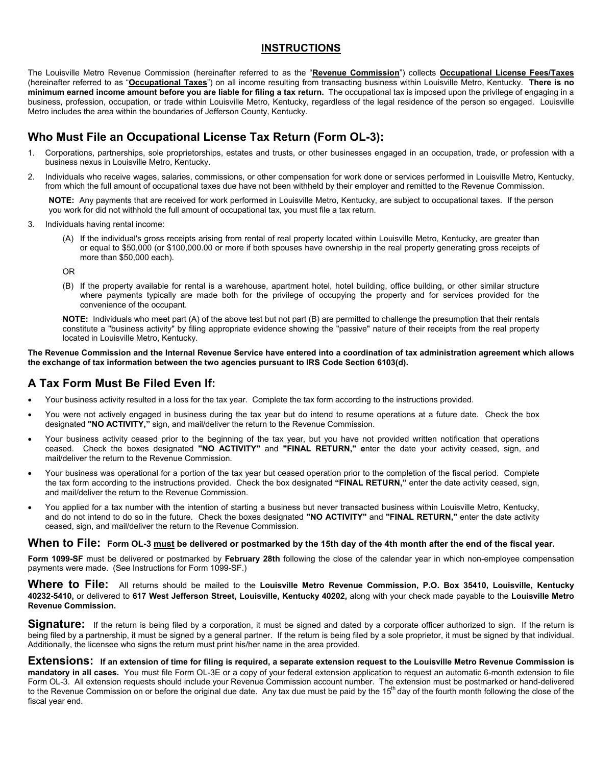### **INSTRUCTIONS**

The Louisville Metro Revenue Commission (hereinafter referred to as the "**Revenue Commission**") collects **Occupational License Fees/Taxes** (hereinafter referred to as "**Occupational Taxes**") on all income resulting from transacting business within Louisville Metro, Kentucky. **There is no minimum earned income amount before you are liable for filing a tax return.** The occupational tax is imposed upon the privilege of engaging in a business, profession, occupation, or trade within Louisville Metro, Kentucky, regardless of the legal residence of the person so engaged. Louisville Metro includes the area within the boundaries of Jefferson County, Kentucky.

# **Who Must File an Occupational License Tax Return (Form OL-3):**

- 1. Corporations, partnerships, sole proprietorships, estates and trusts, or other businesses engaged in an occupation, trade, or profession with a business nexus in Louisville Metro, Kentucky.
- 2. Individuals who receive wages, salaries, commissions, or other compensation for work done or services performed in Louisville Metro, Kentucky, from which the full amount of occupational taxes due have not been withheld by their employer and remitted to the Revenue Commission.

**NOTE:** Any payments that are received for work performed in Louisville Metro, Kentucky, are subject to occupational taxes. If the person you work for did not withhold the full amount of occupational tax, you must file a tax return.

- 3. Individuals having rental income:
	- (A) If the individual's gross receipts arising from rental of real property located within Louisville Metro, Kentucky, are greater than or equal to \$50,000 (or \$100,000.00 or more if both spouses have ownership in the real property generating gross receipts of more than \$50,000 each).
	- OR
	- (B) If the property available for rental is a warehouse, apartment hotel, hotel building, office building, or other similar structure where payments typically are made both for the privilege of occupying the property and for services provided for the convenience of the occupant.

**NOTE:** Individuals who meet part (A) of the above test but not part (B) are permitted to challenge the presumption that their rentals constitute a "business activity" by filing appropriate evidence showing the "passive" nature of their receipts from the real property located in Louisville Metro, Kentucky.

#### **The Revenue Commission and the Internal Revenue Service have entered into a coordination of tax administration agreement which allows the exchange of tax information between the two agencies pursuant to IRS Code Section 6103(d).**

## **A Tax Form Must Be Filed Even If:**

- Your business activity resulted in a loss for the tax year. Complete the tax form according to the instructions provided.
- You were not actively engaged in business during the tax year but do intend to resume operations at a future date. Check the box designated **"NO ACTIVITY,"** sign, and mail/deliver the return to the Revenue Commission.
- Your business activity ceased prior to the beginning of the tax year, but you have not provided written notification that operations ceased. Check the boxes designated **"NO ACTIVITY"** and **"FINAL RETURN," e**nter the date your activity ceased, sign, and mail/deliver the return to the Revenue Commission.
- Your business was operational for a portion of the tax year but ceased operation prior to the completion of the fiscal period. Complete the tax form according to the instructions provided. Check the box designated **"FINAL RETURN,"** enter the date activity ceased, sign, and mail/deliver the return to the Revenue Commission.
- You applied for a tax number with the intention of starting a business but never transacted business within Louisville Metro, Kentucky, and do not intend to do so in the future. Check the boxes designated **"NO ACTIVITY"** and **"FINAL RETURN,"** enter the date activity ceased, sign, and mail/deliver the return to the Revenue Commission.

#### **When to File: Form OL-3 must be delivered or postmarked by the 15th day of the 4th month after the end of the fiscal year.**

**Form 1099-SF** must be delivered or postmarked by **February 28th** following the close of the calendar year in which non-employee compensation payments were made. (See Instructions for Form 1099-SF.)

**Where to File:** All returns should be mailed to the **Louisville Metro Revenue Commission, P.O. Box 35410, Louisville, Kentucky 40232-5410,** or delivered to **617 West Jefferson Street, Louisville, Kentucky 40202,** along with your check made payable to the **Louisville Metro Revenue Commission.**

**Signature:** If the return is being filed by a corporation, it must be signed and dated by a corporate officer authorized to sign. If the return is being filed by a partnership, it must be signed by a general partner. If the return is being filed by a sole proprietor, it must be signed by that individual. Additionally, the licensee who signs the return must print his/her name in the area provided.

**Extensions: If an extension of time for filing is required, a separate extension request to the Louisville Metro Revenue Commission is mandatory in all cases.** You must file Form OL-3E or a copy of your federal extension application to request an automatic 6-month extension to file Form OL-3. All extension requests should include your Revenue Commission account number. The extension must be postmarked or hand-delivered to the Revenue Commission on or before the original due date. Any tax due must be paid by the 15<sup>th</sup> day of the fourth month following the close of the fiscal year end.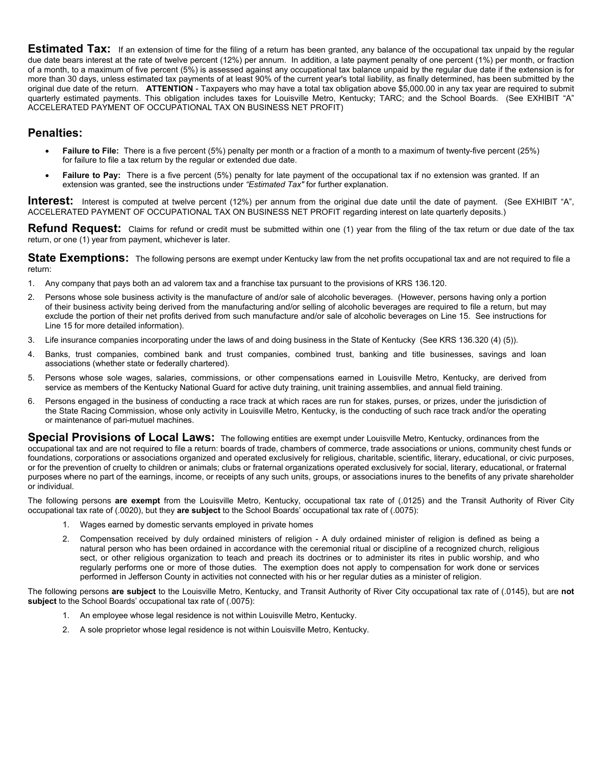**Estimated Tax:** If an extension of time for the filing of a return has been granted, any balance of the occupational tax unpaid by the regular due date bears interest at the rate of twelve percent (12%) per annum. In addition, a late payment penalty of one percent (1%) per month, or fraction of a month, to a maximum of five percent (5%) is assessed against any occupational tax balance unpaid by the regular due date if the extension is for more than 30 days, unless estimated tax payments of at least 90% of the current year's total liability, as finally determined, has been submitted by the original due date of the return. **ATTENTION** - Taxpayers who may have a total tax obligation above \$5,000.00 in any tax year are required to submit quarterly estimated payments. This obligation includes taxes for Louisville Metro, Kentucky; TARC; and the School Boards. (See EXHIBIT "A" ACCELERATED PAYMENT OF OCCUPATIONAL TAX ON BUSINESS NET PROFIT)

### **Penalties:**

- **Failure to File:** There is a five percent (5%) penalty per month or a fraction of a month to a maximum of twenty-five percent (25%) for failure to file a tax return by the regular or extended due date.
- Failure to Pay: There is a five percent (5%) penalty for late payment of the occupational tax if no extension was granted. If an extension was granted, see the instructions under *"Estimated Tax"* for further explanation.

**Interest:** Interest is computed at twelve percent (12%) per annum from the original due date until the date of payment. (See EXHIBIT "A", ACCELERATED PAYMENT OF OCCUPATIONAL TAX ON BUSINESS NET PROFIT regarding interest on late quarterly deposits.)

**Refund Request:** Claims for refund or credit must be submitted within one (1) year from the filing of the tax return or due date of the tax return, or one (1) year from payment, whichever is later.

State Exemptions: The following persons are exempt under Kentucky law from the net profits occupational tax and are not required to file a return:

- 1. Any company that pays both an ad valorem tax and a franchise tax pursuant to the provisions of KRS 136.120.
- 2. Persons whose sole business activity is the manufacture of and/or sale of alcoholic beverages. (However, persons having only a portion of their business activity being derived from the manufacturing and/or selling of alcoholic beverages are required to file a return, but may exclude the portion of their net profits derived from such manufacture and/or sale of alcoholic beverages on Line 15. See instructions for Line 15 for more detailed information).
- 3. Life insurance companies incorporating under the laws of and doing business in the State of Kentucky (See KRS 136.320 (4) (5)).
- 4. Banks, trust companies, combined bank and trust companies, combined trust, banking and title businesses, savings and loan associations (whether state or federally chartered).
- 5. Persons whose sole wages, salaries, commissions, or other compensations earned in Louisville Metro, Kentucky, are derived from service as members of the Kentucky National Guard for active duty training, unit training assemblies, and annual field training.
- 6. Persons engaged in the business of conducting a race track at which races are run for stakes, purses, or prizes, under the jurisdiction of the State Racing Commission, whose only activity in Louisville Metro, Kentucky, is the conducting of such race track and/or the operating or maintenance of pari-mutuel machines.

**Special Provisions of Local Laws:** The following entities are exempt under Louisville Metro, Kentucky, ordinances from the occupational tax and are not required to file a return: boards of trade, chambers of commerce, trade associations or unions, community chest funds or foundations, corporations or associations organized and operated exclusively for religious, charitable, scientific, literary, educational, or civic purposes, or for the prevention of cruelty to children or animals; clubs or fraternal organizations operated exclusively for social, literary, educational, or fraternal purposes where no part of the earnings, income, or receipts of any such units, groups, or associations inures to the benefits of any private shareholder or individual.

The following persons **are exempt** from the Louisville Metro, Kentucky, occupational tax rate of (.0125) and the Transit Authority of River City occupational tax rate of (.0020), but they **are subject** to the School Boards' occupational tax rate of (.0075):

- 1. Wages earned by domestic servants employed in private homes
- 2. Compensation received by duly ordained ministers of religion A duly ordained minister of religion is defined as being a natural person who has been ordained in accordance with the ceremonial ritual or discipline of a recognized church, religious sect, or other religious organization to teach and preach its doctrines or to administer its rites in public worship, and who regularly performs one or more of those duties. The exemption does not apply to compensation for work done or services performed in Jefferson County in activities not connected with his or her regular duties as a minister of religion.

The following persons **are subject** to the Louisville Metro, Kentucky, and Transit Authority of River City occupational tax rate of (.0145), but are **not subject** to the School Boards' occupational tax rate of (.0075):

- 1. An employee whose legal residence is not within Louisville Metro, Kentucky.
- 2. A sole proprietor whose legal residence is not within Louisville Metro, Kentucky.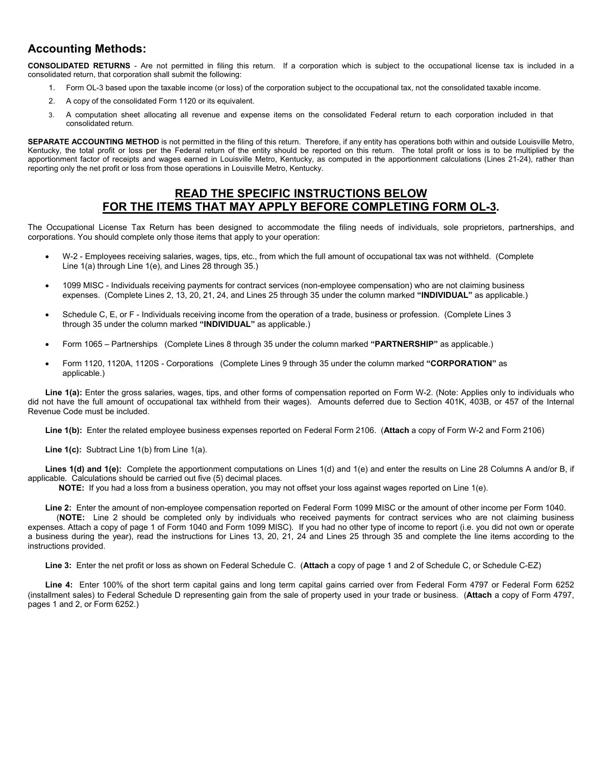## **Accounting Methods:**

**CONSOLIDATED RETURNS** - Are not permitted in filing this return. If a corporation which is subject to the occupational license tax is included in a consolidated return, that corporation shall submit the following:

- 1. Form OL-3 based upon the taxable income (or loss) of the corporation subject to the occupational tax, not the consolidated taxable income.
- 2. A copy of the consolidated Form 1120 or its equivalent.
- 3. A computation sheet allocating all revenue and expense items on the consolidated Federal return to each corporation included in that consolidated return.

SEPARATE ACCOUNTING METHOD is not permitted in the filing of this return. Therefore, if any entity has operations both within and outside Louisville Metro, Kentucky, the total profit or loss per the Federal return of the entity should be reported on this return. The total profit or loss is to be multiplied by the apportionment factor of receipts and wages earned in Louisville Metro, Kentucky, as computed in the apportionment calculations (Lines 21-24), rather than reporting only the net profit or loss from those operations in Louisville Metro, Kentucky.

### **READ THE SPECIFIC INSTRUCTIONS BELOW FOR THE ITEMS THAT MAY APPLY BEFORE COMPLETING FORM OL-3.**

The Occupational License Tax Return has been designed to accommodate the filing needs of individuals, sole proprietors, partnerships, and corporations. You should complete only those items that apply to your operation:

- W-2 Employees receiving salaries, wages, tips, etc., from which the full amount of occupational tax was not withheld. (Complete Line 1(a) through Line 1(e), and Lines 28 through 35.)
- 1099 MISC Individuals receiving payments for contract services (non-employee compensation) who are not claiming business expenses. (Complete Lines 2, 13, 20, 21, 24, and Lines 25 through 35 under the column marked **"INDIVIDUAL"** as applicable.)
- Schedule C, E, or F Individuals receiving income from the operation of a trade, business or profession. (Complete Lines 3 through 35 under the column marked **"INDIVIDUAL"** as applicable.)
- Form 1065 Partnerships (Complete Lines 8 through 35 under the column marked **"PARTNERSHIP"** as applicable.)
- Form 1120, 1120A, 1120S Corporations (Complete Lines 9 through 35 under the column marked **"CORPORATION"** as applicable.)

**Line 1(a):** Enter the gross salaries, wages, tips, and other forms of compensation reported on Form W-2. (Note: Applies only to individuals who did not have the full amount of occupational tax withheld from their wages). Amounts deferred due to Section 401K, 403B, or 457 of the Internal Revenue Code must be included.

**Line 1(b):** Enter the related employee business expenses reported on Federal Form 2106. (**Attach** a copy of Form W-2 and Form 2106)

**Line 1(c):** Subtract Line 1(b) from Line 1(a).

**Lines 1(d) and 1(e):** Complete the apportionment computations on Lines 1(d) and 1(e) and enter the results on Line 28 Columns A and/or B, if applicable. Calculations should be carried out five (5) decimal places.

**NOTE:** If you had a loss from a business operation, you may not offset your loss against wages reported on Line 1(e).

**Line 2:** Enter the amount of non-employee compensation reported on Federal Form 1099 MISC or the amount of other income per Form 1040.

 (**NOTE:** Line 2 should be completed only by individuals who received payments for contract services who are not claiming business expenses. Attach a copy of page 1 of Form 1040 and Form 1099 MISC). If you had no other type of income to report (i.e. you did not own or operate a business during the year), read the instructions for Lines 13, 20, 21, 24 and Lines 25 through 35 and complete the line items according to the instructions provided.

**Line 3:** Enter the net profit or loss as shown on Federal Schedule C. (**Attach** a copy of page 1 and 2 of Schedule C, or Schedule C-EZ)

**Line 4:** Enter 100% of the short term capital gains and long term capital gains carried over from Federal Form 4797 or Federal Form 6252 (installment sales) to Federal Schedule D representing gain from the sale of property used in your trade or business. (**Attach** a copy of Form 4797, pages 1 and 2, or Form 6252.)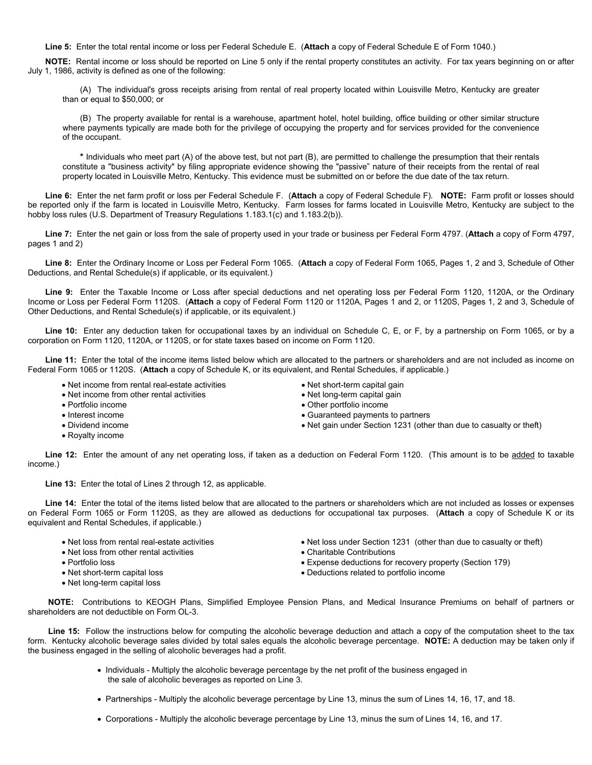**Line 5:** Enter the total rental income or loss per Federal Schedule E. (**Attach** a copy of Federal Schedule E of Form 1040.)

**NOTE:** Rental income or loss should be reported on Line 5 only if the rental property constitutes an activity. For tax years beginning on or after July 1, 1986, activity is defined as one of the following:

(A) The individual's gross receipts arising from rental of real property located within Louisville Metro, Kentucky are greater than or equal to \$50,000; or

(B) The property available for rental is a warehouse, apartment hotel, hotel building, office building or other similar structure where payments typically are made both for the privilege of occupying the property and for services provided for the convenience of the occupant.

**\*** Individuals who meet part (A) of the above test, but not part (B), are permitted to challenge the presumption that their rentals constitute a "business activity" by filing appropriate evidence showing the "passive" nature of their receipts from the rental of real property located in Louisville Metro, Kentucky. This evidence must be submitted on or before the due date of the tax return.

**Line 6:** Enter the net farm profit or loss per Federal Schedule F. (**Attach** a copy of Federal Schedule F)*.* **NOTE:** Farm profit or losses should be reported only if the farm is located in Louisville Metro, Kentucky. Farm losses for farms located in Louisville Metro, Kentucky are subject to the hobby loss rules (U.S. Department of Treasury Regulations 1.183.1(c) and 1.183.2(b)).

**Line 7:** Enter the net gain or loss from the sale of property used in your trade or business per Federal Form 4797. (**Attach** a copy of Form 4797, pages 1 and 2)

**Line 8:** Enter the Ordinary Income or Loss per Federal Form 1065. (**Attach** a copy of Federal Form 1065, Pages 1, 2 and 3, Schedule of Other Deductions, and Rental Schedule(s) if applicable, or its equivalent.)

Line 9: Enter the Taxable Income or Loss after special deductions and net operating loss per Federal Form 1120, 1120A, or the Ordinary Income or Loss per Federal Form 1120S. (**Attach** a copy of Federal Form 1120 or 1120A, Pages 1 and 2, or 1120S, Pages 1, 2 and 3, Schedule of Other Deductions, and Rental Schedule(s) if applicable, or its equivalent.)

**Line 10:** Enter any deduction taken for occupational taxes by an individual on Schedule C, E, or F, by a partnership on Form 1065, or by a corporation on Form 1120, 1120A, or 1120S, or for state taxes based on income on Form 1120.

**Line 11:** Enter the total of the income items listed below which are allocated to the partners or shareholders and are not included as income on Federal Form 1065 or 1120S. (**Attach** a copy of Schedule K, or its equivalent, and Rental Schedules, if applicable.)

- Net income from rental real-estate activities
- Net income from other rental activities

Portfolio income

- Interest income
- Dividend income
- Royalty income
- Net short-term capital gain
- Net long-term capital gain
- Other portfolio income
- Guaranteed payments to partners
- Net gain under Section 1231 (other than due to casualty or theft)

**Line 12:** Enter the amount of any net operating loss, if taken as a deduction on Federal Form 1120. (This amount is to be added to taxable income.)

**Line 13:** Enter the total of Lines 2 through 12, as applicable.

**Line 14:** Enter the total of the items listed below that are allocated to the partners or shareholders which are not included as losses or expenses on Federal Form 1065 or Form 1120S, as they are allowed as deductions for occupational tax purposes. (**Attach** a copy of Schedule K or its equivalent and Rental Schedules, if applicable.)

- Net loss from rental real-estate activities
- Net loss from other rental activities
- Portfolio loss
- Net short-term capital loss
- Net long-term capital loss
- Net loss under Section 1231 (other than due to casualty or theft)
- Charitable Contributions
- Expense deductions for recovery property (Section 179)
- Deductions related to portfolio income

 **NOTE:** Contributions to KEOGH Plans, Simplified Employee Pension Plans, and Medical Insurance Premiums on behalf of partners or shareholders are not deductible on Form OL-3.

 **Line 15:** Follow the instructions below for computing the alcoholic beverage deduction and attach a copy of the computation sheet to the tax form. Kentucky alcoholic beverage sales divided by total sales equals the alcoholic beverage percentage. **NOTE:** A deduction may be taken only if the business engaged in the selling of alcoholic beverages had a profit.

- Individuals Multiply the alcoholic beverage percentage by the net profit of the business engaged in the sale of alcoholic beverages as reported on Line 3.
- Partnerships Multiply the alcoholic beverage percentage by Line 13, minus the sum of Lines 14, 16, 17, and 18.
- Corporations Multiply the alcoholic beverage percentage by Line 13, minus the sum of Lines 14, 16, and 17.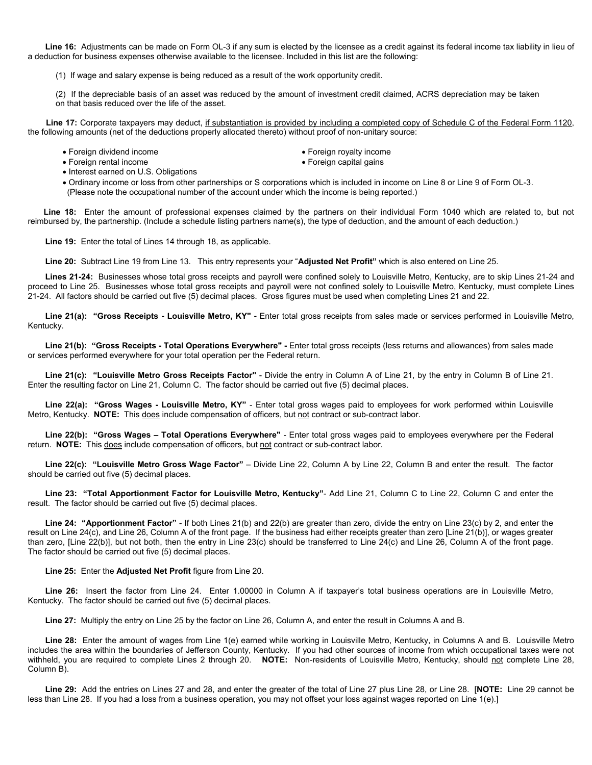**Line 16:** Adjustments can be made on Form OL-3 if any sum is elected by the licensee as a credit against its federal income tax liability in lieu of a deduction for business expenses otherwise available to the licensee. Included in this list are the following:

(1) If wage and salary expense is being reduced as a result of the work opportunity credit.

(2) If the depreciable basis of an asset was reduced by the amount of investment credit claimed, ACRS depreciation may be taken on that basis reduced over the life of the asset.

 **Line 17:** Corporate taxpayers may deduct, if substantiation is provided by including a completed copy of Schedule C of the Federal Form 1120, the following amounts (net of the deductions properly allocated thereto) without proof of non-unitary source:

- Foreign dividend income **Foreign royalty income** 
	-
- Foreign rental income Foreign capital gains
- Interest earned on U.S. Obligations
- Ordinary income or loss from other partnerships or S corporations which is included in income on Line 8 or Line 9 of Form OL-3. (Please note the occupational number of the account under which the income is being reported.)

 **Line 18:** Enter the amount of professional expenses claimed by the partners on their individual Form 1040 which are related to, but not reimbursed by, the partnership. (Include a schedule listing partners name(s), the type of deduction, and the amount of each deduction.)

**Line 19:** Enter the total of Lines 14 through 18, as applicable.

**Line 20:** Subtract Line 19 from Line 13. This entry represents your "**Adjusted Net Profit"** which is also entered on Line 25.

**Lines 21-24:** Businesses whose total gross receipts and payroll were confined solely to Louisville Metro, Kentucky, are to skip Lines 21-24 and proceed to Line 25. Businesses whose total gross receipts and payroll were not confined solely to Louisville Metro, Kentucky, must complete Lines 21-24. All factors should be carried out five (5) decimal places. Gross figures must be used when completing Lines 21 and 22.

**Line 21(a): "Gross Receipts - Louisville Metro, KY" -** Enter total gross receipts from sales made or services performed in Louisville Metro, Kentucky.

Line 21(b): "Gross Receipts - Total Operations Everywhere" - Enter total gross receipts (less returns and allowances) from sales made or services performed everywhere for your total operation per the Federal return.

**Line 21(c): "Louisville Metro Gross Receipts Factor"** - Divide the entry in Column A of Line 21, by the entry in Column B of Line 21. Enter the resulting factor on Line 21, Column C. The factor should be carried out five (5) decimal places.

**Line 22(a): "Gross Wages - Louisville Metro, KY"** - Enter total gross wages paid to employees for work performed within Louisville Metro, Kentucky. **NOTE:** This does include compensation of officers, but not contract or sub-contract labor.

**Line 22(b): "Gross Wages – Total Operations Everywhere"** - Enter total gross wages paid to employees everywhere per the Federal return. **NOTE:** This does include compensation of officers, but not contract or sub-contract labor.

**Line 22(c): "Louisville Metro Gross Wage Factor"** – Divide Line 22, Column A by Line 22, Column B and enter the result. The factor should be carried out five (5) decimal places.

**Line 23: "Total Apportionment Factor for Louisville Metro, Kentucky"**- Add Line 21, Column C to Line 22, Column C and enter the result. The factor should be carried out five (5) decimal places.

**Line 24: "Apportionment Factor"** - If both Lines 21(b) and 22(b) are greater than zero, divide the entry on Line 23(c) by 2, and enter the result on Line 24(c), and Line 26, Column A of the front page. If the business had either receipts greater than zero [Line 21(b)], or wages greater than zero, [Line 22(b)], but not both, then the entry in Line 23(c) should be transferred to Line 24(c) and Line 26, Column A of the front page. The factor should be carried out five (5) decimal places.

**Line 25:** Enter the **Adjusted Net Profit** figure from Line 20.

**Line 26:** Insert the factor from Line 24. Enter 1.00000 in Column A if taxpayer's total business operations are in Louisville Metro, Kentucky. The factor should be carried out five (5) decimal places.

**Line 27:** Multiply the entry on Line 25 by the factor on Line 26, Column A, and enter the result in Columns A and B.

**Line 28:** Enter the amount of wages from Line 1(e) earned while working in Louisville Metro, Kentucky, in Columns A and B. Louisville Metro includes the area within the boundaries of Jefferson County, Kentucky. If you had other sources of income from which occupational taxes were not withheld, you are required to complete Lines 2 through 20. **NOTE:** Non-residents of Louisville Metro, Kentucky, should not complete Line 28, Column B).

**Line 29:** Add the entries on Lines 27 and 28, and enter the greater of the total of Line 27 plus Line 28, or Line 28. [**NOTE:** Line 29 cannot be less than Line 28. If you had a loss from a business operation, you may not offset your loss against wages reported on Line 1(e).]